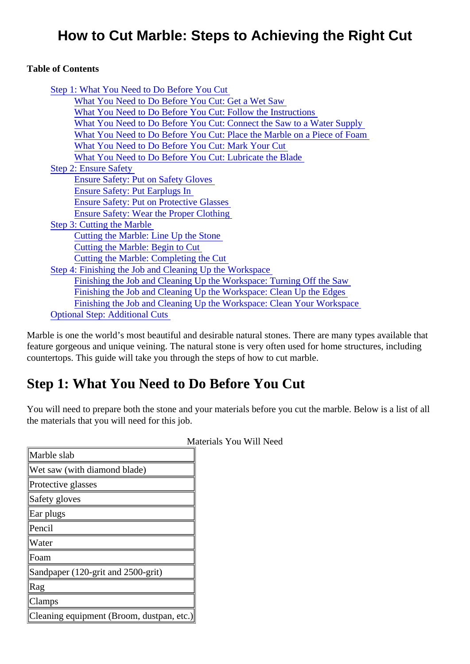# How to Cut Marble: Steps to Achieving the Right Cut

Table of Contents

| Step 1: What You Need to Do Before You Cut                              |
|-------------------------------------------------------------------------|
| What You Need to Do Before You Cut: Get a Wet Saw                       |
| What You Need to Do Before You Cut: Follow the Instructions             |
| What You Need to Do Before You Cut: Connect the Saw to a Water Supply   |
| What You Need to Do Before You Cut: Place the Marble on a Piece of Foam |
| What You Need to Do Before You Cut: Mark Your Cut                       |
| What You Need to Do Before You Cut: Lubricate the Blade                 |
| <b>Step 2: Ensure Safety</b>                                            |
| <b>Ensure Safety: Put on Safety Gloves</b>                              |
| <b>Ensure Safety: Put Earplugs In</b>                                   |
| <b>Ensure Safety: Put on Protective Glasses</b>                         |
| <b>Ensure Safety: Wear the Proper Clothing</b>                          |
| Step 3: Cutting the Marble                                              |
| Cutting the Marble: Line Up the Stone                                   |
| <b>Cutting the Marble: Begin to Cut</b>                                 |
| <b>Cutting the Marble: Completing the Cut</b>                           |
| Step 4: Finishing the Job and Cleaning Up the Workspace                 |
| Finishing the Job and Cleaning Up the Workspace: Turning Off the Saw    |
| Finishing the Job and Cleaning Up the Workspace: Clean Up the Edges     |
| Finishing the Job and Cleaning Up the Workspace: Clean Your Workspace   |
| <b>Optional Step: Additional Cuts</b>                                   |

Marble is one the world's most beautiful and desirable natural stones. There are many types available that feature gorgeous and unique veining. The natural stone is very often used for home structures, including countertops. This guide will take you through the steps of how to cut marble.

# Step 1: What You Need to Do Before You Cut

You will need to prepare both the stone and your materials before you cut the marble. Below is a list of all the materials that you will need for this job.

| Marble slab                               |  |
|-------------------------------------------|--|
| Wet saw (with diamond blade)              |  |
| Protective glasses                        |  |
| Safety gloves                             |  |
| Ear plugs                                 |  |
| Pencil                                    |  |
| Water                                     |  |
| Foam                                      |  |
| Sandpaper (120-grit and 2500-grit)        |  |
| Rag                                       |  |
| Clamps                                    |  |
| Cleaning equipment (Broom, dustpan, otc.) |  |

Materials You Will Need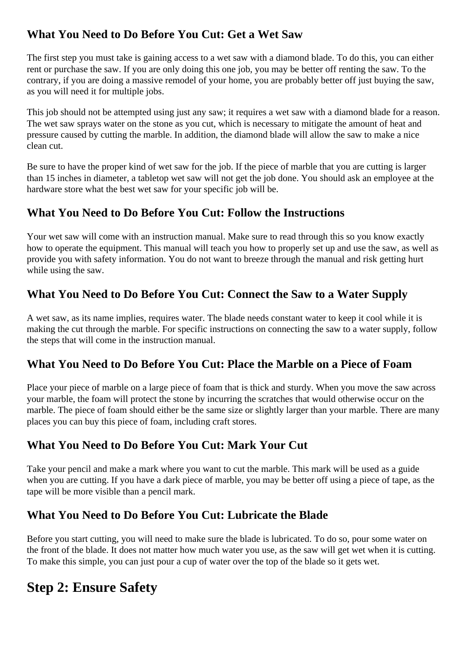# <span id="page-1-0"></span>**What You Need to Do Before You Cut: Get a Wet Saw**

The first step you must take is gaining access to a wet saw with a diamond blade. To do this, you can either rent or purchase the saw. If you are only doing this one job, you may be better off renting the saw. To the contrary, if you are doing a massive remodel of your home, you are probably better off just buying the saw, as you will need it for multiple jobs.

This job should not be attempted using just any saw; it requires a wet saw with a diamond blade for a reason. The wet saw sprays water on the stone as you cut, which is necessary to mitigate the amount of heat and pressure caused by cutting the marble. In addition, the diamond blade will allow the saw to make a nice clean cut.

Be sure to have the proper kind of wet saw for the job. If the piece of marble that you are cutting is larger than 15 inches in diameter, a tabletop wet saw will not get the job done. You should ask an employee at the hardware store what the best wet saw for your specific job will be.

# **What You Need to Do Before You Cut: Follow the Instructions**

Your wet saw will come with an instruction manual. Make sure to read through this so you know exactly how to operate the equipment. This manual will teach you how to properly set up and use the saw, as well as provide you with safety information. You do not want to breeze through the manual and risk getting hurt while using the saw.

# **What You Need to Do Before You Cut: Connect the Saw to a Water Supply**

A wet saw, as its name implies, requires water. The blade needs constant water to keep it cool while it is making the cut through the marble. For specific instructions on connecting the saw to a water supply, follow the steps that will come in the instruction manual.

## **What You Need to Do Before You Cut: Place the Marble on a Piece of Foam**

Place your piece of marble on a large piece of foam that is thick and sturdy. When you move the saw across your marble, the foam will protect the stone by incurring the scratches that would otherwise occur on the marble. The piece of foam should either be the same size or slightly larger than your marble. There are many places you can buy this piece of foam, including craft stores.

## **What You Need to Do Before You Cut: Mark Your Cut**

Take your pencil and make a mark where you want to cut the marble. This mark will be used as a guide when you are cutting. If you have a dark piece of marble, you may be better off using a piece of tape, as the tape will be more visible than a pencil mark.

## **What You Need to Do Before You Cut: Lubricate the Blade**

Before you start cutting, you will need to make sure the blade is lubricated. To do so, pour some water on the front of the blade. It does not matter how much water you use, as the saw will get wet when it is cutting. To make this simple, you can just pour a cup of water over the top of the blade so it gets wet.

# **Step 2: Ensure Safety**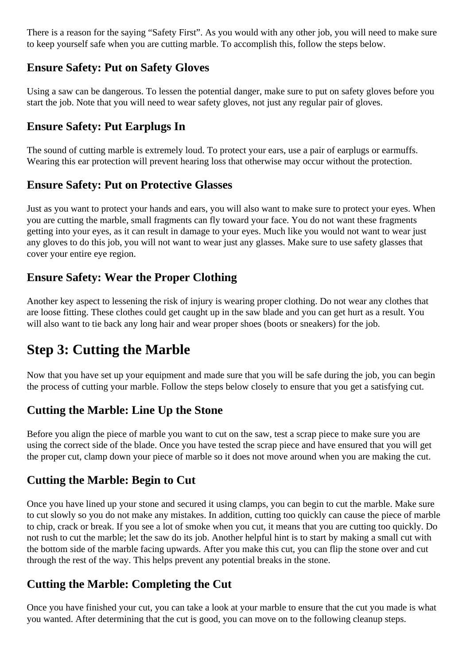<span id="page-2-0"></span>There is a reason for the saying "Safety First". As you would with any other job, you will need to make sure to keep yourself safe when you are cutting marble. To accomplish this, follow the steps below.

## **Ensure Safety: Put on Safety Gloves**

Using a saw can be dangerous. To lessen the potential danger, make sure to put on safety gloves before you start the job. Note that you will need to wear safety gloves, not just any regular pair of gloves.

# **Ensure Safety: Put Earplugs In**

The sound of cutting marble is extremely loud. To protect your ears, use a pair of earplugs or earmuffs. Wearing this ear protection will prevent hearing loss that otherwise may occur without the protection.

#### **Ensure Safety: Put on Protective Glasses**

Just as you want to protect your hands and ears, you will also want to make sure to protect your eyes. When you are cutting the marble, small fragments can fly toward your face. You do not want these fragments getting into your eyes, as it can result in damage to your eyes. Much like you would not want to wear just any gloves to do this job, you will not want to wear just any glasses. Make sure to use safety glasses that cover your entire eye region.

#### **Ensure Safety: Wear the Proper Clothing**

Another key aspect to lessening the risk of injury is wearing proper clothing. Do not wear any clothes that are loose fitting. These clothes could get caught up in the saw blade and you can get hurt as a result. You will also want to tie back any long hair and wear proper shoes (boots or sneakers) for the job.

# **Step 3: Cutting the Marble**

Now that you have set up your equipment and made sure that you will be safe during the job, you can begin the process of cutting your marble. Follow the steps below closely to ensure that you get a satisfying cut.

## **Cutting the Marble: Line Up the Stone**

Before you align the piece of marble you want to cut on the saw, test a scrap piece to make sure you are using the correct side of the blade. Once you have tested the scrap piece and have ensured that you will get the proper cut, clamp down your piece of marble so it does not move around when you are making the cut.

#### **Cutting the Marble: Begin to Cut**

Once you have lined up your stone and secured it using clamps, you can begin to cut the marble. Make sure to cut slowly so you do not make any mistakes. In addition, cutting too quickly can cause the piece of marble to chip, crack or break. If you see a lot of smoke when you cut, it means that you are cutting too quickly. Do not rush to cut the marble; let the saw do its job. Another helpful hint is to start by making a small cut with the bottom side of the marble facing upwards. After you make this cut, you can flip the stone over and cut through the rest of the way. This helps prevent any potential breaks in the stone.

## **Cutting the Marble: Completing the Cut**

Once you have finished your cut, you can take a look at your marble to ensure that the cut you made is what you wanted. After determining that the cut is good, you can move on to the following cleanup steps.